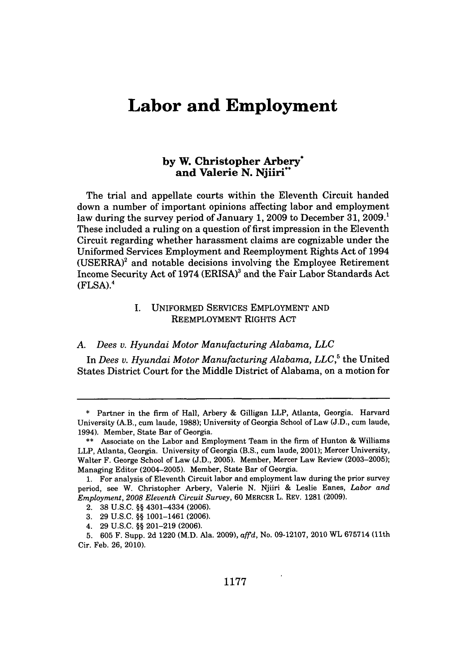# **Labor and Employment**

## **by W. Christopher Arbery\* and Valerie N. Njiiri\*\***

The trial and appellate courts within the Eleventh Circuit handed down a number of important opinions affecting labor and employment law during the survey period of January **1, 2009** to December **31, 2009.1** These included a ruling on a question of first impression in the Eleventh Circuit regarding whether harassment claims are cognizable under the Uniformed Services Employment and Reemployment Rights Act of 1994  $(USERRA)^2$  and notable decisions involving the Employee Retirement Income Security Act of 1974 (ERISA)<sup>3</sup> and the Fair Labor Standards Act  $(FLSA).<sup>4</sup>$ 

### I. UNIFORMED SERVICES EMPLOYMENT AND REEMPLOYMENT RIGHTS **ACT**

#### *A. Dees v. Hyundai Motor Manufacturing Alabama, LLC*

In *Dees v. Hyundai Motor Manufacturing Alabama, LLC*,<sup>5</sup> the United States District Court for the Middle District of Alabama, on a motion for

**<sup>\*</sup>** Partner in the firm of Hall, Arbery & Gilligan LLP, Atlanta, Georgia. Harvard University (A.B., cum laude, 1988); University of Georgia School of Law (J.D., cum laude, 1994). Member, State Bar of Georgia.

<sup>\*\*</sup> Associate on the Labor and Employment Team in the firm of Hunton & Williams LLP, Atlanta, Georgia. University of Georgia (B.S., cum laude, 2001); Mercer University, Walter F. George School of Law (J.D., 2005). Member, Mercer Law Review (2003-2005); Managing Editor (2004-2005). Member, State Bar of Georgia.

<sup>1.</sup> For analysis of Eleventh Circuit labor and employment law during the prior survey period, see W. Christopher Arbery, Valerie N. Njiiri & Leslie Eanes, *Labor and Employment, 2008 Eleventh Circuit Survey,* 60 MERCER L. REV. 1281 (2009).

<sup>2. 38</sup> U.S.C. **§§** 4301-4334 (2006).

<sup>3. 29</sup> U.S.C. **§§** 1001-1461 (2006).

<sup>4. 29</sup> U.S.C. **§§** 201-219 (2006).

<sup>5. 605</sup> F. Supp. 2d 1220 (M.D. Ala. 2009), *affd,* No. 09-12107, 2010 WL 675714 (11th Cir. Feb. 26, 2010).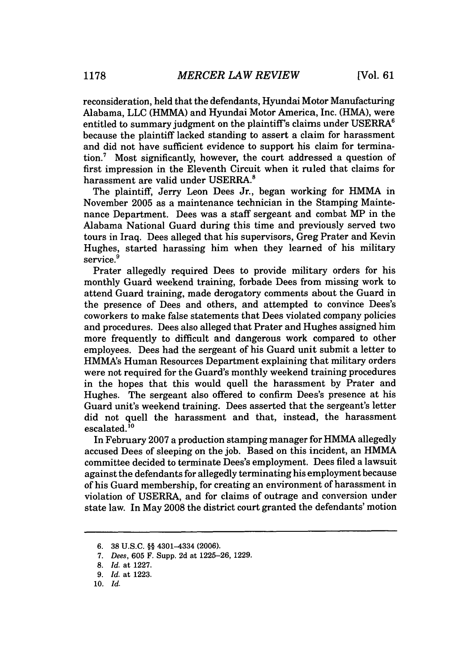reconsideration, held that the defendants, Hyundai Motor Manufacturing Alabama, LLC (HMMA) and Hyundai Motor America, Inc. (HMA), were entitled to summary judgment on the plaintiff's claims under USERRA<sup>6</sup> because the plaintiff lacked standing to assert a claim for harassment and did not have sufficient evidence to support his claim for termination.7 Most significantly, however, the court addressed a question of first impression in the Eleventh Circuit when it ruled that claims for harassment are valid under USERRA.<sup>8</sup>

The plaintiff, Jerry Leon Dees Jr., began working for HMMA in November 2005 as a maintenance technician in the Stamping Maintenance Department. Dees was a staff sergeant and combat MP in the Alabama National Guard during this time and previously served two tours in Iraq. Dees alleged that his supervisors, Greg Prater and Kevin Hughes, started harassing him when they learned of his military service.<sup>9</sup>

Prater allegedly required Dees to provide military orders for his monthly Guard weekend training, forbade Dees from missing work to attend Guard training, made derogatory comments about the Guard in the presence of Dees and others, and attempted to convince Dees's coworkers to make false statements that Dees violated company policies and procedures. Dees also alleged that Prater and Hughes assigned him more frequently to difficult and dangerous work compared to other employees. Dees had the sergeant of his Guard unit submit a letter to HMMA's Human Resources Department explaining that military orders were not required for the Guard's monthly weekend training procedures in the hopes that this would quell the harassment by Prater and Hughes. The sergeant also offered to confirm Dees's presence at his Guard unit's weekend training. Dees asserted that the sergeant's letter did not quell the harassment and that, instead, the harassment  $e$ scalated. $10$ 

In February 2007 a production stamping manager for HMMA allegedly accused Dees of sleeping on the job. Based on this incident, an HMMA committee decided to terminate Dees's employment. Dees filed a lawsuit against the defendants for allegedly terminating his employment because of his Guard membership, for creating an environment of harassment in violation of USERRA, and for claims of outrage and conversion under state law. In May 2008 the district court granted the defendants' motion

<sup>6.</sup> **38** U.S.C. §§ 4301-4334 (2006).

*<sup>7.</sup> Dees,* **605** F. Supp. **2d** at **1225-26, 1229.**

**<sup>8.</sup>** *Id.* at **1227.**

**<sup>9.</sup>** *Id.* at **1223.**

**<sup>10.</sup>** *Id.*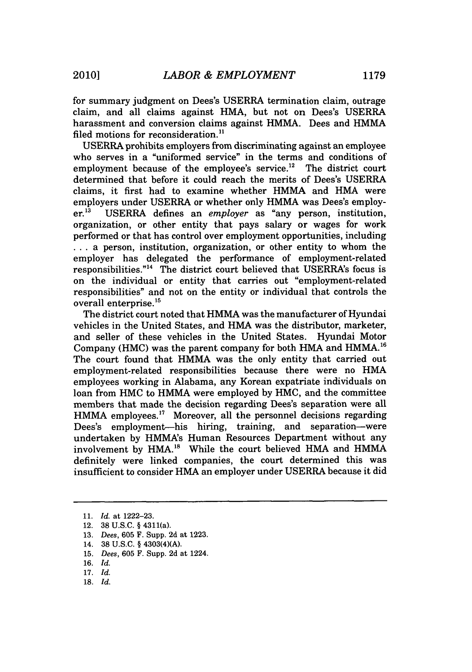for summary judgment on Dees's USERRA termination claim, outrage claim, and all claims against HMA, but not on Dees's USERRA harassment and conversion claims against HMMA. Dees and HMMA filed motions for reconsideration.<sup>11</sup>

USERRA prohibits employers from discriminating against an employee who serves in a "uniformed service" in the terms and conditions of employment because of the employee's service.<sup>12</sup> The district court determined that before it could reach the merits of Dees's USERRA claims, it first had to examine whether HMMA and HMA were employers under USERRA or whether only HMMA was Dees's employ-<br>er.<sup>13</sup> USERRA defines an *employer* as "any person, institution. USERRA defines an *employer* as "any person, institution, organization, or other entity that pays salary or wages for work performed or that has control over employment opportunities, including **...** a person, institution, organization, or other entity to whom the employer has delegated the performance of employment-related responsibilities."<sup>14</sup> The district court believed that USERRA's focus is on the individual or entity that carries out "employment-related responsibilities" and not on the entity or individual that controls the overall enterprise.15

The district court noted that HMMA was the manufacturer of Hyundai vehicles in the United States, and HMA was the distributor, marketer, and seller of these vehicles in the United States. Hyundai Motor Company (HMC) was the parent company for both HMA and HMMA.<sup>16</sup> The court found that HMMA was the only entity that carried out employment-related responsibilities because there were no HMA employees working in Alabama, any Korean expatriate individuals on loan from HMC to HMMA were employed by HMC, and the committee members that made the decision regarding Dees's separation were all HMMA employees.<sup>17</sup> Moreover, all the personnel decisions regarding Dees's employment-his hiring, training, and separation-were undertaken by HMMA's Human Resources Department without any involvement by HMA.'8 While the court believed HMA and HMMA definitely were linked companies, the court determined this was insufficient to consider HMA an employer under USERRA because it did

- 17. *Id.*
- 18. *Id.*

<sup>11.</sup> *Id.* at 1222-23.

<sup>12. 38</sup> U.S.C. § 4311(a).

<sup>13.</sup> *Dees,* 605 F. Supp. 2d at 1223.

<sup>14. 38</sup> U.S.C. § 4303(4)(A).

<sup>15.</sup> *Dees,* 605 F. Supp. 2d at 1224.

<sup>16.</sup> *Id.*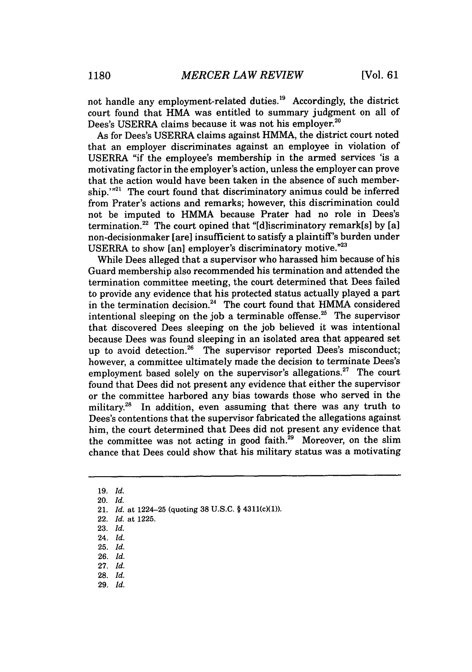not handle any employment-related duties.<sup>19</sup> Accordingly, the district court found that HMA was entitled to summary judgment on all of Dees's USERRA claims because it was not his employer. $^{2}$ 

As for Dees's USERRA claims against HMMA, the district court noted that an employer discriminates against an employee in violation of USERRA "if the employee's membership in the armed services 'is a motivating factor in the employer's action, unless the employer can prove that the action would have been taken in the absence of such membership. $1^{n21}$  The court found that discriminatory animus could be inferred from Prater's actions and remarks; however, this discrimination could not be imputed to HMMA because Prater had no role in Dees's termination.<sup>22</sup> The court opined that "[d] is criminatory remark[s] by [a] non-decisionmaker [are] insufficient to satisfy a plaintiff's burden under USERRA to show [an] employer's discriminatory motive."23

While Dees alleged that a supervisor who harassed him because of his Guard membership also recommended his termination and attended the termination committee meeting, the court determined that Dees failed to provide any evidence that his protected status actually played a part in the termination decision.<sup>24</sup> The court found that HMMA considered intentional sleeping on the job a terminable offense.<sup>25</sup> The supervisor that discovered Dees sleeping on the job believed it was intentional because Dees was found sleeping in an isolated area that appeared set up to avoid detection.<sup>26</sup> The supervisor reported Dees's misconduct; however, a committee ultimately made the decision to terminate Dees's employment based solely on the supervisor's allegations.<sup>27</sup> The court found that Dees did not present any evidence that either the supervisor or the committee harbored any bias towards those who served in the military.<sup>28</sup> In addition, even assuming that there was any truth to Dees's contentions that the supervisor fabricated the allegations against him, the court determined that Dees did not present any evidence that the committee was not acting in good faith.<sup>29</sup> Moreover, on the slim chance that Dees could show that his military status was a motivating

23. *Id.*

25. *Id.*

- 27. *Id.*
- 28. *Id.* 29. *Id.*
- 

<sup>19.</sup> *Id.*

<sup>20.</sup> *Id.*

<sup>21.</sup> *Id.* at 1224-25 (quoting 38 U.S.C. § 4311(c)(1)).

<sup>22.</sup> *Id.* at 1225.

<sup>24.</sup> *Id.*

<sup>26.</sup> *Id.*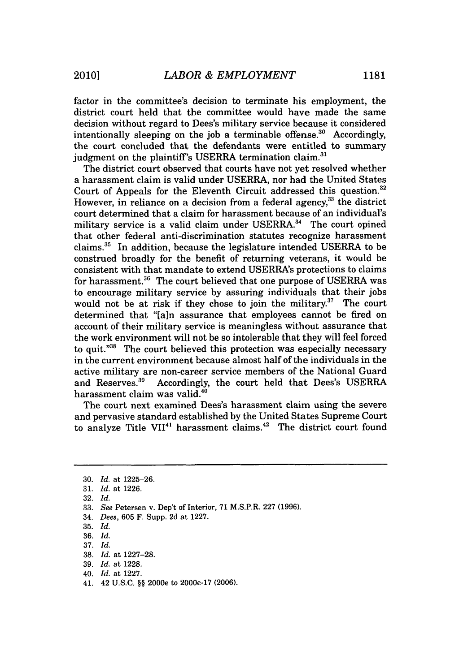factor in the committee's decision to terminate his employment, the district court held that the committee would have made the same decision without regard to Dees's military service because it considered intentionally sleeping on the job a terminable offense.<sup>30</sup> Accordingly, the court concluded that the defendants were entitled to summary judgment on the plaintiff's USERRA termination claim.<sup>31</sup>

The district court observed that courts have not yet resolved whether a harassment claim is valid under USERRA, nor had the United States Court of Appeals for the Eleventh Circuit addressed this question.<sup>32</sup> However, in reliance on a decision from a federal agency, $33$  the district court determined that a claim for harassment because of an individual's military service is a valid claim under USERRA. $34$  The court opined that other federal anti-discrimination statutes recognize harassment claims.35 In addition, because the legislature intended USERRA to be construed broadly for the benefit of returning veterans, it would be consistent with that mandate to extend USERRA's protections to claims for harassment.<sup>36</sup> The court believed that one purpose of USERRA was to encourage military service by assuring individuals that their jobs would not be at risk if they chose to join the military.<sup>37</sup> The court determined that "[a]n assurance that employees cannot be fired on account of their military service is meaningless without assurance that the work environment will not be so intolerable that they will feel forced to quit.<sup>"38</sup> The court believed this protection was especially necessary in the current environment because almost half of the individuals in the active military are non-career service members of the National Guard and Reserves.<sup>39</sup> Accordingly, the court held that Dees's USERRA harassment claim was valid.<sup>40</sup>

The court next examined Dees's harassment claim using the severe and pervasive standard established by the United States Supreme Court to analyze Title VII<sup>41</sup> harassment claims.<sup>42</sup> The district court found

39. *Id.* at 1228.

<sup>30.</sup> *Id.* at 1225-26.

<sup>31.</sup> *Id.* at 1226.

<sup>32.</sup> *Id.*

<sup>33.</sup> *See* Petersen v. Dep't of Interior, 71 M.S.P.R. 227 (1996).

<sup>34.</sup> *Dees,* 605 F. Supp. 2d at 1227.

<sup>35.</sup> *Id.*

<sup>36.</sup> *Id.*

<sup>37.</sup> *Id.*

<sup>38.</sup> *Id.* at 1227-28.

<sup>40.</sup> *Id.* at 1227.

<sup>41. 42</sup> U.S.C. §§ 2000e to 2000e-17 (2006).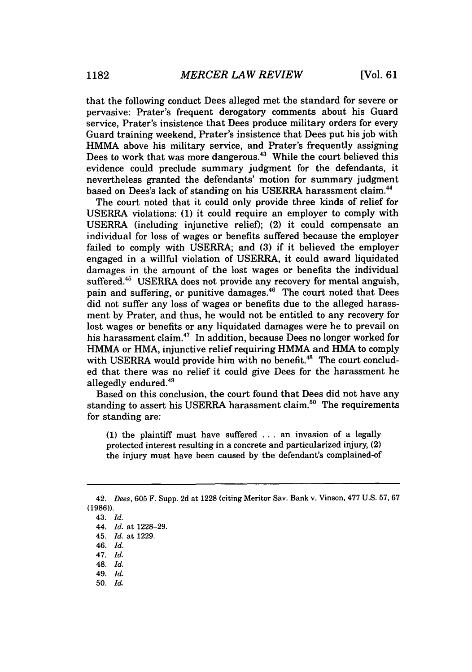that the following conduct Dees alleged met the standard for severe or pervasive: Prater's frequent derogatory comments about his Guard service, Prater's insistence that Dees produce military orders for every Guard training weekend, Prater's insistence that Dees put his job with HMMA above his military service, and Prater's frequently assigning Dees to work that was more dangerous.<sup>43</sup> While the court believed this evidence could preclude summary judgment for the defendants, it nevertheless granted the defendants' motion for summary judgment based on Dees's lack of standing on his USERRA harassment claim.<sup>44</sup>

The court noted that it could only provide three kinds of relief for USERRA violations: **(1)** it could require an employer to comply with USERRA (including injunctive relief); (2) it could compensate an individual for loss of wages or benefits suffered because the employer failed to comply with USERRA; and **(3)** if it believed the employer engaged in a willful violation of USERRA, it could award liquidated damages in the amount of the lost wages or benefits the individual suffered.<sup>45</sup> USERRA does not provide any recovery for mental anguish, pain and suffering, or punitive damages.<sup>46</sup> The court noted that Dees did not suffer any loss of wages or benefits due to the alleged harassment by Prater, and thus, he would not be entitled to any recovery for lost wages or benefits or any liquidated damages were he to prevail on his harassment claim.<sup>47</sup> In addition, because Dees no longer worked for HMMA or HMA, injunctive relief requiring HMMA and HMA to comply with USERRA would provide him with no benefit.<sup>48</sup> The court concluded that there was no relief it could give Dees for the harassment he allegedly endured. $49$ 

Based on this conclusion, the court found that Dees did not have any standing to assert his USERRA harassment claim.<sup>50</sup> The requirements for standing are:

**(1)** the plaintiff must have suffered ... an invasion of a legally protected interest resulting in a concrete and particularized injury, (2) the injury must have been caused by the defendant's complained-of

50. *Id.*

<sup>42.</sup> *Dees,* 605 F. Supp. 2d at 1228 (citing Meritor Say. Bank v. Vinson, 477 U.S. 57, 67 (1986)).

<sup>43.</sup> *Id.*

<sup>44.</sup> *Id.* at 1228-29.

<sup>45.</sup> *Id.* at 1229.

<sup>46.</sup> *Id.*

<sup>47.</sup> *Id.*

<sup>48.</sup> *Id.*

<sup>49.</sup> *Id.*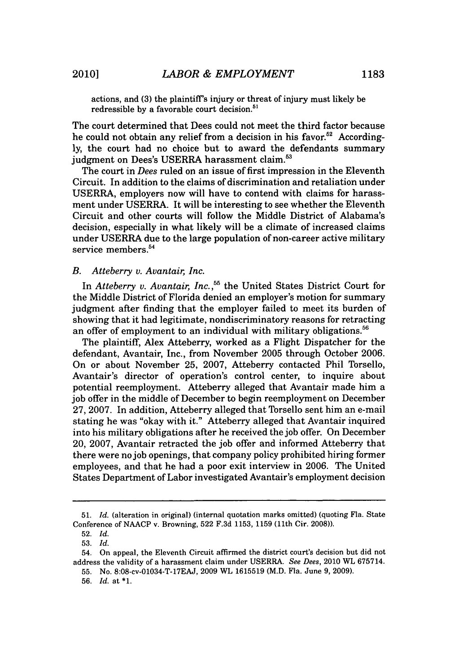actions, and **(3)** the plaintiff's injury or threat of injury must likely be redressible by a favorable court decision. $51$ 

The court determined that Dees could not meet the third factor because he could not obtain any relief from a decision in his favor.<sup>52</sup> Accordingly, the court had no choice but to award the defendants summary judgment on Dees's USERRA harassment claim.<sup>53</sup>

The court in *Dees* ruled on an issue of first impression in the Eleventh Circuit. In addition to the claims of discrimination and retaliation under USERRA, employers now will have to contend with claims for harassment under USERRA. It will be interesting to see whether the Eleventh Circuit and other courts will follow the Middle District of Alabama's decision, especially in what likely will be a climate of increased claims under USERRA due to the large population of non-career active military service members. $54$ 

#### *B. Atteberry v. Avantair, Inc.*

In *Atteberry v. Avantair, Inc.*,<sup>55</sup> the United States District Court for the Middle District of Florida denied an employer's motion for summary judgment after finding that the employer failed to meet its burden of showing that it had legitimate, nondiscriminatory reasons for retracting an offer of employment to an individual with military obligations.<sup>56</sup>

The plaintiff, Alex Atteberry, worked as a Flight Dispatcher for the defendant, Avantair, Inc., from November 2005 through October 2006. On or about November 25, 2007, Atteberry contacted Phil Torsello, Avantair's director of operation's control center, to inquire about potential reemployment. Atteberry alleged that Avantair made him a job offer in the middle of December to begin reemployment on December 27, 2007. In addition, Atteberry alleged that Torsello sent him an e-mail stating he was "okay with it." Atteberry alleged that Avantair inquired into his military obligations after he received the job offer. On December 20, 2007, Avantair retracted the job offer and informed Atteberry that there were no job openings, that company policy prohibited hiring former employees, and that he had a poor exit interview in 2006. The United States Department of Labor investigated Avantair's employment decision

<sup>51.</sup> *Id.* (alteration in original) (internal quotation marks omitted) (quoting Fla. State Conference of NAACP v. Browning, 522 F.3d 1153, 1159 (11th Cir. 2008)).

<sup>52.</sup> *Id.*

<sup>53.</sup> *Id.*

<sup>54.</sup> On appeal, the Eleventh Circuit affirmed the district court's decision but did not address the validity of a harassment claim under USERRA. *See Dees,* 2010 WL 675714.

<sup>55.</sup> No. 8:08-cv-01034-T-17EAJ, 2009 WL 1615519 (M.D. Fla. June **9,** 2009).

<sup>56.</sup> *Id.* **at\*1.**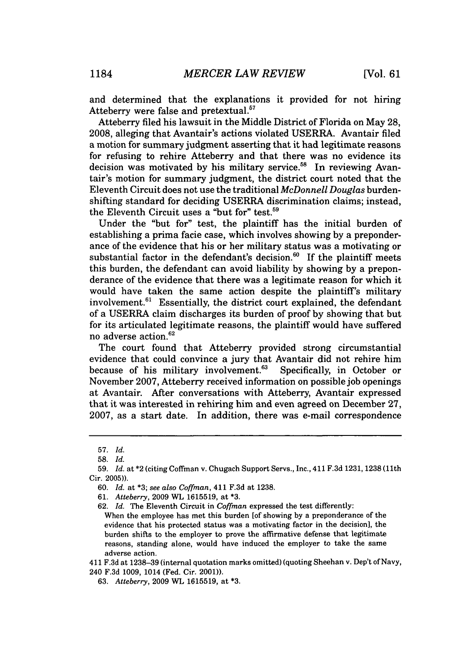and determined that the explanations it provided for not hiring Atteberry were false and pretextual. $57$ 

Atteberry filed his lawsuit in the Middle District of Florida on May 28, 2008, alleging that Avantair's actions violated USERRA. Avantair filed a motion for summary judgment asserting that it had legitimate reasons for refusing to rehire Atteberry and that there was no evidence its decision was motivated by his military service.<sup>58</sup> In reviewing Avantair's motion for summary judgment, the district court noted that the Eleventh Circuit does not use the traditional *McDonnell Douglas* burdenshifting standard for deciding USERRA discrimination claims; instead, the Eleventh Circuit uses a "but for" test.<sup>59</sup>

Under the "but for" test, the plaintiff has the initial burden of establishing a prima facie case, which involves showing by a preponderance of the evidence that his or her military status was a motivating or substantial factor in the defendant's decision.<sup>60</sup> If the plaintiff meets this burden, the defendant can avoid liability by showing by a preponderance of the evidence that there was a legitimate reason for which it would have taken the same action despite the plaintiff's military involvement. $61$  Essentially, the district court explained, the defendant of a USERRA claim discharges its burden of proof by showing that but for its articulated legitimate reasons, the plaintiff would have suffered no adverse action.<sup>62</sup>

The court found that Atteberry provided strong circumstantial evidence that could convince a jury that Avantair did not rehire him because of his military involvement.<sup>63</sup> Specifically, in October or November 2007, Atteberry received information on possible job openings at Avantair. After conversations with Atteberry, Avantair expressed that it was interested in rehiring him and even agreed on December 27, 2007, as a start date. In addition, there was e-mail correspondence

62. *Id.* The Eleventh Circuit in *Coffman* expressed the test differently:

When the employee has met this burden [of showing by a preponderance of the evidence that his protected status was a motivating factor in the decision], the burden shifts to the employer to prove the affirmative defense that legitimate reasons, standing alone, would have induced the employer to take the same adverse action.

411 F.3d at 1238-39 (internal quotation marks omitted) (quoting Sheehan v. Dep't of Navy,

240 F.3d 1009, 1014 (Fed. Cir. 2001)).

63. *Atteberry,* 2009 WL 1615519, at **\*3.**

**<sup>57.</sup>** *Id.*

<sup>58.</sup> *Id.*

<sup>59.</sup> *Id.* at \*2 (citing Coffman v. Chugach Support Servs., Inc., 411 F.3d 1231, 1238 (11th Cir. 2005)).

<sup>60.</sup> *Id.* at \*3; *see also Coffman,* 411 F.3d at 1238.

<sup>61.</sup> *Atteberry,* 2009 WL 1615519, at **\*3.**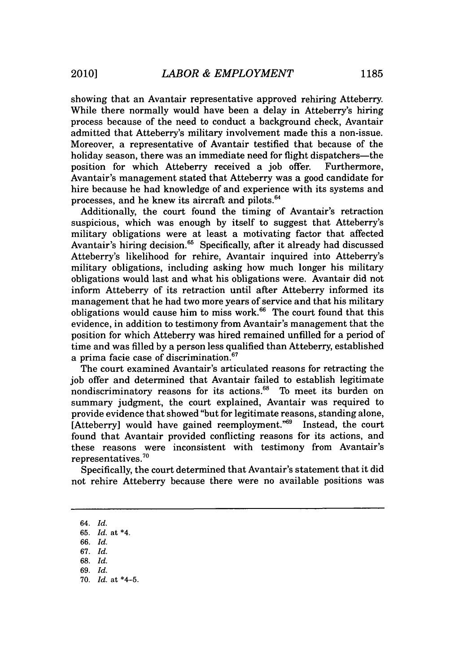showing that an Avantair representative approved rehiring Atteberry. While there normally would have been a delay in Atteberry's hiring process because of the need to conduct a background check, Avantair admitted that Atteberry's military involvement made this a non-issue. Moreover, a representative of Avantair testified that because of the holiday season, there was an immediate need for flight dispatchers—the position for which Atteberry received a job offer. Furthermore, Avantair's management stated that Atteberry was a good candidate for hire because he had knowledge of and experience with its systems and processes, and he knew its aircraft and pilots.'

Additionally, the court found the timing of Avantair's retraction suspicious, which was enough by itself to suggest that Atteberry's military obligations were at least a motivating factor that affected Avantair's hiring decision.<sup>65</sup> Specifically, after it already had discussed Atteberry's likelihood for rehire, Avantair inquired into Atteberry's military obligations, including asking how much longer his military obligations would last and what his obligations were. Avantair did not inform Atteberry of its retraction until after Atteberry informed its management that he had two more years of service and that his military obligations would cause him to miss work. $66$  The court found that this evidence, in addition to testimony from Avantair's management that the position for which Atteberry was hired remained unfilled for a period of time and was filled by a person less qualified than Atteberry, established a prima facie case of discrimination.<sup>67</sup>

The court examined Avantair's articulated reasons for retracting the job offer and determined that Avantair failed to establish legitimate nondiscriminatory reasons for its actions.<sup>68</sup> To meet its burden on summary judgment, the court explained, Avantair was required to provide evidence that showed "but for legitimate reasons, standing alone, [Atteberry] would have gained reemployment."<sup>69</sup> Instead, the court found that Avantair provided conflicting reasons for its actions, and these reasons were inconsistent with testimony from Avantair's representatives.70

Specifically, the court determined that Avantair's statement that it did not rehire Atteberry because there were no available positions was

- 66. *Id.*
- 67. *Id.*
- 68. *Id.* 69. *Id.*
- 70. *Id.* at \*4-5.

<sup>64.</sup> *Id.*

<sup>65.</sup> *Id.* at \*4.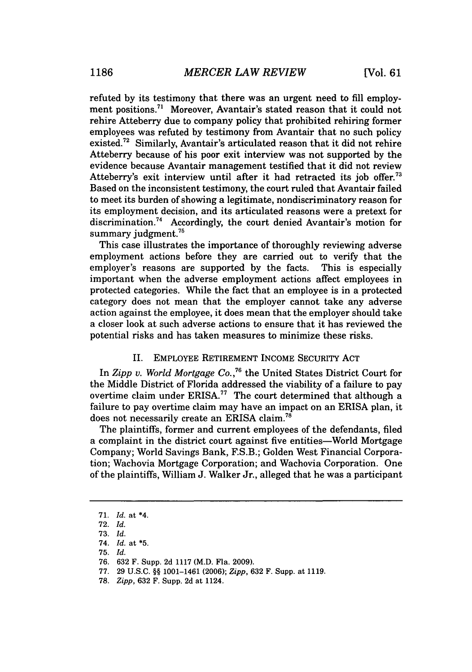refuted by its testimony that there was an urgent need to fill employment positions.<sup>71</sup> Moreover, Avantair's stated reason that it could not rehire Atteberry due to company policy that prohibited rehiring former employees was refuted by testimony from Avantair that no such policy existed.72 Similarly, Avantair's articulated reason that it did not rehire Atteberry because of his poor exit interview was not supported by the evidence because Avantair management testified that it did not review Atteberry's exit interview until after it had retracted its job offer.<sup>77</sup> Based on the inconsistent testimony, the court ruled that Avantair failed to meet its burden of showing a legitimate, nondiscriminatory reason for its employment decision, and its articulated reasons were a pretext for discrimination.<sup>74</sup> Accordingly, the court denied Avantair's motion for summary judgment. $75$ 

This case illustrates the importance of thoroughly reviewing adverse employment actions before they are carried out to verify that the employer's reasons are supported by the facts. This is especially important when the adverse employment actions affect employees in protected categories. While the fact that an employee is in a protected category does not mean that the employer cannot take any adverse action against the employee, it does mean that the employer should take a closer look at such adverse actions to ensure that it has reviewed the potential risks and has taken measures to minimize these risks.

#### II. EMPLOYEE RETIREMENT INCOME SECURITY ACT

In *Zipp v. World Mortgage Co.,76* the United States District Court for the Middle District of Florida addressed the viability of a failure to pay overtime claim under ERISA.<sup>77</sup> The court determined that although a failure to pay overtime claim may have an impact on an ERISA plan, it does not necessarily create an ERISA claim."

The plaintiffs, former and current employees of the defendants, filed a complaint in the district court against five entities—World Mortgage Company; World Savings Bank, F.S.B.; Golden West Financial Corporation; Wachovia Mortgage Corporation; and Wachovia Corporation. One of the plaintiffs, William J. Walker Jr., alleged that he was a participant

77. 29 U.S.C. §§ 1001-1461 (2006); *Zipp,* 632 F. Supp. at 1119.

<sup>71.</sup> *Id.* at \*4.

<sup>72.</sup> *Id.*

**<sup>73.</sup>** *Id.*

<sup>74.</sup> *Id.* at **\*5.**

**<sup>75.</sup>** *Id.*

<sup>76. 632</sup> F. Supp. 2d 1117 (M.D. Fla. 2009).

<sup>78.</sup> *Zipp,* 632 F. Supp. 2d at 1124.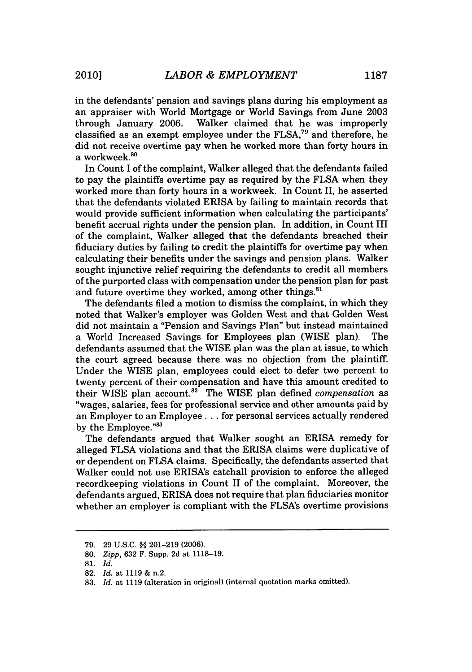in the defendants' pension and savings plans during his employment as an appraiser with World Mortgage or World Savings from June 2003 through January 2006. Walker claimed that he was improperly classified as an exempt employee under the FLSA,<sup>79</sup> and therefore, he did not receive overtime pay when he worked more than forty hours in a workweek.<sup>80</sup>

In Count I of the complaint, Walker alleged that the defendants failed to pay the plaintiffs overtime pay as required by the FLSA when they worked more than forty hours in a workweek. In Count II, he asserted that the defendants violated ERISA by failing to maintain records that would provide sufficient information when calculating the participants' benefit accrual rights under the pension plan. In addition, in Count III of the complaint, Walker alleged that the defendants breached their fiduciary duties by failing to credit the plaintiffs for overtime pay when calculating their benefits under the savings and pension plans. Walker sought injunctive relief requiring the defendants to credit all members of the purported class with compensation under the pension plan for past and future overtime they worked, among other things.<sup>8</sup>

The defendants filed a motion to dismiss the complaint, in which they noted that Walker's employer was Golden West and that Golden West did not maintain a "Pension and Savings Plan" but instead maintained a World Increased Savings for Employees plan (WISE plan). The defendants assumed that the WISE plan was the plan at issue, to which the court agreed because there was no objection from the plaintiff. Under the WISE plan, employees could elect to defer two percent to twenty percent of their compensation and have this amount credited to their WISE plan account.<sup>82</sup> The WISE plan defined *compensation* as "wages, salaries, fees for professional service and other amounts paid by an Employer to an Employee. **.** . for personal services actually rendered by the Employee."<sup>83</sup>

The defendants argued that Walker sought an ERISA remedy for alleged FLSA violations and that the ERISA claims were duplicative of or dependent on FLSA claims. Specifically, the defendants asserted that Walker could not use ERISA's catchall provision to enforce the alleged recordkeeping violations in Count II of the complaint. Moreover, the defendants argued, ERISA does not require that plan fiduciaries monitor whether an employer is compliant with the FLSA's overtime provisions

<sup>79. 29</sup> U.S.C. §§ 201-219 (2006).

<sup>80.</sup> *Zipp,* 632 F. Supp. 2d at 1118-19.

<sup>81.</sup> *Id.*

<sup>82.</sup> *Id.* at 1119 & n.2.

<sup>83.</sup> *Id.* at 1119 (alteration in original) (internal quotation marks omitted).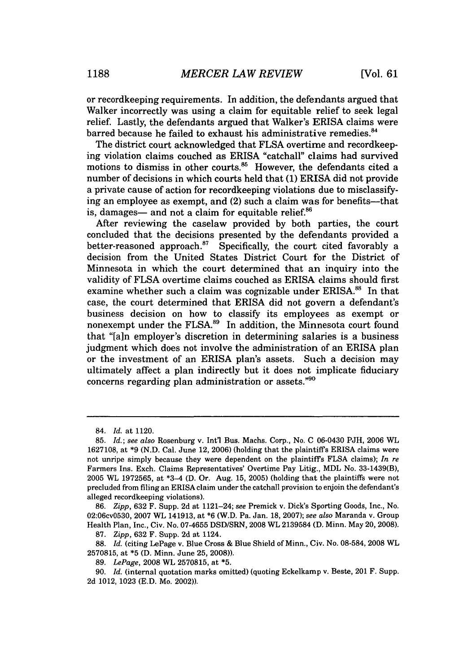or recordkeeping requirements. In addition, the defendants argued that Walker incorrectly was using a claim for equitable relief to seek legal relief. Lastly, the defendants argued that Walker's ERISA claims were barred because he failed to exhaust his administrative remedies.<sup>84</sup>

The district court acknowledged that FLSA overtime and recordkeeping violation claims couched as ERISA "catchall" claims had survived motions to dismiss in other courts.<sup>85</sup> However, the defendants cited a number of decisions in which courts held that (1) ERISA did not provide a private cause of action for recordkeeping violations due to misclassifying an employee as exempt, and (2) such a claim was for benefits--that is, damages— and not a claim for equitable relief. $86$ 

After reviewing the caselaw provided by both parties, the court concluded that the decisions presented by the defendants provided a better-reasoned approach. $^{87}$  Specifically, the court cited favorably a decision from the United States District Court for the District of Minnesota in which the court determined that an inquiry into the validity of FLSA overtime claims couched as ERISA claims should first examine whether such a claim was cognizable under ERISA.<sup>88</sup> In that case, the court determined that ERISA did not govern a defendant's business decision on how to classify its employees as exempt or nonexempt under the FLSA.<sup>89</sup> In addition, the Minnesota court found that "[a]n employer's discretion in determining salaries is a business judgment which does not involve the administration of an ERISA plan or the investment of an ERISA plan's assets. Such a decision may ultimately affect a plan indirectly but it does not implicate fiduciary concerns regarding plan administration or assets. $"^{90}$ 

86. *Zipp,* 632 F. Supp. 2d at 1121-24; see Premick v. Dick's Sporting Goods, Inc., No. 02:06cv0530, 2007 WL 141913, at \*6 (W.D. Pa. Jan. 18, 2007); *see also* Maranda v. Group Health Plan, Inc., Civ. No. 07-4655 DSD/SRN, 2008 WL 2139584 (D. Minn. May 20, 2008).

88. *Id.* (citing LePage v. Blue Cross & Blue Shield of Minn., Civ. No. 08-584, 2008 WL 2570815, at \*5 **(D.** Minn. June 25, 2008)).

<sup>84.</sup> *Id.* at 1120.

<sup>85.</sup> *Id.; see also* Rosenburg v. Intl Bus. Machs. Corp., No. C 06-0430 PJH, 2006 WL 1627108, at \*9 (N.D. Cal. June 12, 2006) (holding that the plaintiffs ERISA claims were not unripe simply because they were dependent on the plaintiffs FLSA claims); *In re* Farmers Ins. Exch. Claims Representatives' Overtime Pay Litig., MDL No. 33-1439(B), 2005 WL 1972565, at \*3-4 (D. Or. Aug. 15, 2005) (holding that the plaintiffs were not precluded from filing an ERISA claim under the catchall provision to enjoin the defendant's alleged recordkeeping violations).

<sup>87.</sup> *Zipp,* 632 F. Supp. 2d at 1124.

<sup>89.</sup> *LePage,* 2008 WL 2570815, at **\*5.**

*<sup>90.</sup> Id.* (internal quotation marks omitted) (quoting Eckelkamp v. Beste, 201 F. Supp. 2d 1012, 1023 (E.D. Mo. 2002)).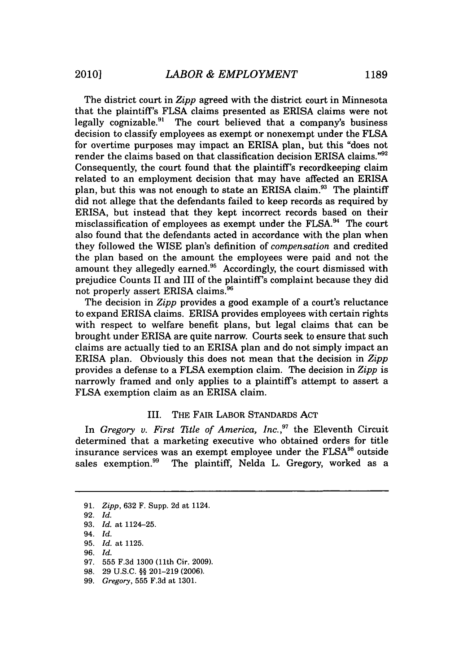The district court in *Zipp* agreed with the district court in Minnesota that the plaintiff's FLSA claims presented as ERISA claims were not legally cognizable. $91$  The court believed that a company's business decision to classify employees as exempt or nonexempt under the FLSA for overtime purposes may impact an ERISA plan, but this "does not render the claims based on that classification decision ERISA claims."92 Consequently, the court found that the plaintiff's recordkeeping claim related to an employment decision that may have affected an ERISA plan, but this was not enough to state an ERISA claim. 93 The plaintiff did not allege that the defendants failed to keep records as required by ERISA, but instead that they kept incorrect records based on their misclassification of employees as exempt under the FLSA.<sup>94</sup> The court also found that the defendants acted in accordance with the plan when they followed the WISE plan's definition of *compensation* and credited the plan based on the amount the employees were paid and not the amount they allegedly earned.<sup>95</sup> Accordingly, the court dismissed with prejudice Counts II and III of the plaintiff's complaint because they did not properly assert ERISA claims.<sup>96</sup>

The decision in *Zipp* provides a good example of a court's reluctance to expand ERISA claims. ERISA provides employees with certain rights with respect to welfare benefit plans, but legal claims that can be brought under ERISA are quite narrow. Courts seek to ensure that such claims are actually tied to an ERISA plan and do not simply impact an ERISA plan. Obviously this does not mean that the decision in *Zipp* provides a defense to a FLSA exemption claim. The decision in *Zipp* is narrowly framed and only applies to a plaintiff's attempt to assert a FLSA exemption claim as an ERISA claim.

#### III. THE FAIR LABOR STANDARDS ACT

In *Gregory v. First Title of America, Inc.,"* the Eleventh Circuit determined that a marketing executive who obtained orders for title insurance services was an exempt employee under the  $FLSA^{98}$  outside sales exemption.<sup>99</sup> The plaintiff, Nelda L. Gregory, worked as a

<sup>91.</sup> *Zipp,* 632 F. Supp. 2d at 1124.

<sup>92.</sup> *Id.*

<sup>93.</sup> *Id.* at 1124-25.

<sup>94.</sup> *Id.*

<sup>95.</sup> *Id.* at 1125.

<sup>96.</sup> *Id.*

<sup>97. 555</sup> F.3d 1300 (11th Cir. 2009).

<sup>98. 29</sup> U.S.C. **§§** 201-219 (2006).

<sup>99.</sup> *Gregory,* 555 F.3d at 1301.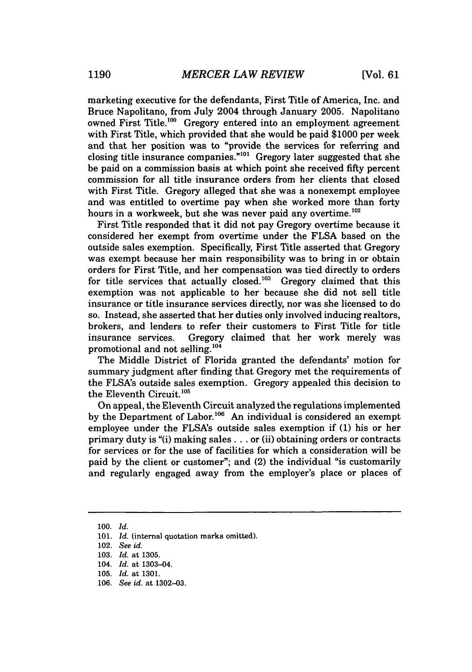marketing executive for the defendants, First Title of America, Inc. and Bruce Napolitano, from July 2004 through January 2005. Napolitano owned First Title.<sup>100</sup> Gregory entered into an employment agreement with First Title, which provided that she would be paid \$1000 per week and that her position was to "provide the services for referring and closing title insurance companies." $101$  Gregory later suggested that she be paid on a commission basis at which point she received fifty percent commission for all title insurance orders from her clients that closed with First Title. Gregory alleged that she was a nonexempt employee and was entitled to overtime pay when she worked more than forty hours in a workweek, but she was never paid any overtime.<sup>102</sup>

First Title responded that it did not pay Gregory overtime because it considered her exempt from overtime under the FLSA based on the outside sales exemption. Specifically, First Title asserted that Gregory was exempt because her main responsibility was to bring in or obtain orders for First Title, and her compensation was tied directly to orders for title services that actually closed.<sup>103</sup> Gregory claimed that this exemption was not applicable to her because she did not sell title insurance or title insurance services directly, nor was she licensed to do so. Instead, she asserted that her duties only involved inducing realtors, brokers, and lenders to refer their customers to First Title for title insurance services. Gregory claimed that her work merely was promotional and not selling. $104$ 

The Middle District of Florida granted the defendants' motion for summary judgment after finding that Gregory met the requirements of the FLSA's outside sales exemption. Gregory appealed this decision to the Eleventh Circuit.<sup>105</sup>

On appeal, the Eleventh Circuit analyzed the regulations implemented by the Department of Labor.<sup>106</sup> An individual is considered an exempt employee under the FLSA's outside sales exemption if (1) his or her primary duty is "(i) making sales **...** or (ii) obtaining orders or contracts for services or for the use of facilities for which a consideration will be paid by the client or customer"; and (2) the individual "is customarily and regularly engaged away from the employer's place or places of

<sup>100.</sup> *Id.*

<sup>101.</sup> *Id.* (internal quotation marks omitted).

<sup>102.</sup> *See id.*

<sup>103.</sup> *Id.* at 1305.

<sup>104.</sup> *Id.* at 1303-04.

<sup>105.</sup> *Id.* at 1301.

<sup>106.</sup> *See id.* at 1302-03.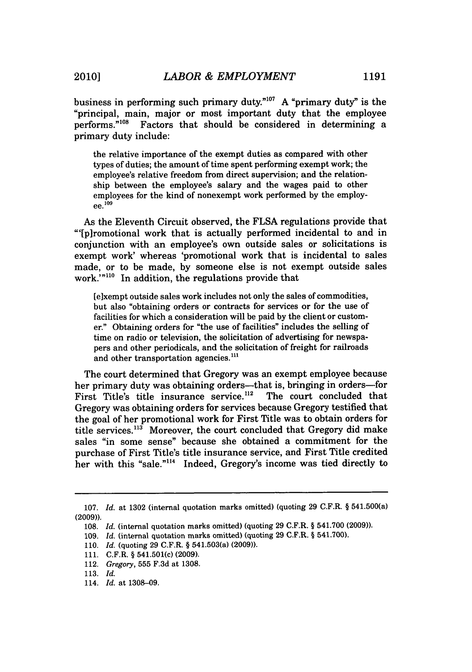business in performing such primary duty.<sup>"107</sup> A "primary duty" is the "principal, main, major or most important duty that the employee performs."108 Factors that should be considered in determining a primary duty include:

the relative importance of the exempt duties as compared with other types of duties; the amount of time spent performing exempt work; the employee's relative freedom from direct supervision; and the relationship between the employee's salary and the wages paid to other employees for the kind of nonexempt work performed by the employ- **ee. 1 9**  $9e^{109}$ 

As the Eleventh Circuit observed, the **FLSA** regulations provide that "'[piromotional work that is actually performed incidental to and in conjunction with an employee's own outside sales or solicitations is exempt work' whereas 'promotional work that is incidental to sales made, or to be made, **by** someone else is not exempt outside sales work."<sup>n110</sup> In addition, the regulations provide that

[e]xempt outside sales work includes not only the sales of commodities, but also "obtaining orders or contracts for services or for the use of facilities for which a consideration will be paid by the client or customer." Obtaining orders for "the use of facilities" includes the selling of time on radio or television, the solicitation of advertising for newspapers and other periodicals, and the solicitation of freight for railroads and other transportation agencies.<sup>111</sup>

The court determined that Gregory was an exempt employee because her primary duty was obtaining orders—that is, bringing in orders—for First Title's title insurance service.<sup>112</sup> The court concluded that Gregory was obtaining orders for services because Gregory testified that the goal of her promotional work for First Title was to obtain orders for title services.<sup>113</sup> Moreover, the court concluded that Gregory did make sales "in some sense" because she obtained a commitment for the purchase of First Title's title insurance service, and First Title credited her with this "sale."<sup>114</sup> Indeed, Gregory's income was tied directly to

<sup>107.</sup> *Id.* at 1302 (internal quotation marks omitted) (quoting 29 C.F.R. § 541.500(a) (2009)).

<sup>108.</sup> *Id.* (internal quotation marks omitted) (quoting 29 C.F.R. § 541.700 (2009)).

<sup>109.</sup> *Id.* (internal quotation marks omitted) (quoting 29 C.F.R. § 541.700).

<sup>110.</sup> *Id.* (quoting 29 C.F.R. § 541.503(a) (2009)).

<sup>111.</sup> C.F.R. § 541.501(c) (2009).

<sup>112.</sup> Gregory, 555 F.3d at 1308.

<sup>113.</sup> *Id.*

<sup>114.</sup> *Id.* at 1308-09.